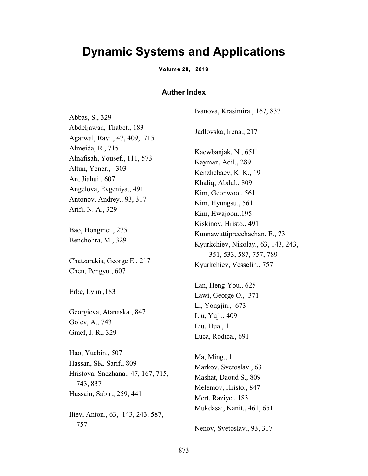## **Dynamic Systems and Applications**

**Volume 28, 2019** 

## **Auther Index**

Abbas, S., 329 Abdeljawad, Thabet., 183 Agarwal, Ravi., 47, 409, 715 Almeida, R., 715 Alnafisah, Yousef., 111, 573 Altun, Yener., 303 An, Jiahui., 607 Angelova, Evgeniya., 491 Antonov, Andrey., 93, 317 Arifi, N. A., 329 Bao, Hongmei., 275 Benchohra, M., 329 Chatzarakis, George E., 217 Chen, Pengyu., 607 Erbe, Lynn.,183 Georgieva, Atanaska., 847 Golev, A., 743 Graef, J. R., 329 Hao, Yuebin., 507 Hassan, SK. Sarif., 809 Hristova, Snezhana., 47, 167, 715, 743, 837 Hussain, Sabir., 259, 441 Iliev, Anton., 63, 143, 243, 587,

757

Ivanova, Krasimira., 167, 837 Jadlovska, Irena., 217 Kaewbanjak, N., 651 Kaymaz, Adil., 289 Kenzhebaev, K. K., 19 Khaliq, Abdul., 809 Kim, Geonwoo., 561 Kim, Hyungsu., 561 Kim, Hwajoon.,195 Kiskinov, Hristo., 491 Kunnawuttipreechachan, E., 73 Kyurkchiev, Nikolay., 63, 143, 243, 351, 533, 587, 757, 789 Kyurkchiev, Vesselin., 757 Lan, Heng-You., 625 Lawi, George O., 371 Li, Yongjin., 673 Liu, Yuji., 409 Liu, Hua., 1 Luca, Rodica., 691 Ma, Ming., 1 Markov, Svetoslav., 63 Mashat, Daoud S., 809 Melemov, Hristo., 847 Mert, Raziye., 183 Mukdasai, Kanit., 461, 651

Nenov, Svetoslav., 93, 317